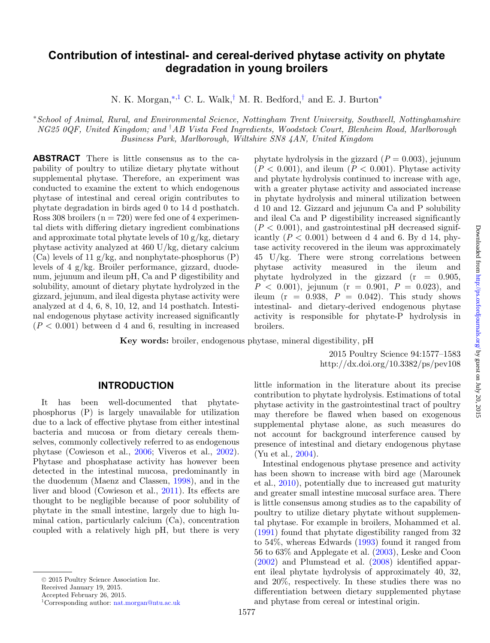# **Contribution of intestinal- and cereal-derived phytase activity on phytate degradation in young broilers**

<span id="page-0-2"></span>N. K. Morgan,<sup>\*[,1](#page-0-1)</sup> C. L. Walk,<sup>[†](#page-0-2)</sup> M. R. Bedford,<sup>†</sup> and E. J. Burton<sup>\*</sup>

<span id="page-0-0"></span><sup>∗</sup>*School of Animal, Rural, and Environmental Science, Nottingham Trent University, Southwell, Nottinghamshire NG25 0QF, United Kingdom; and* † *AB Vista Feed Ingredients, Woodstock Court, Blenheim Road, Marlborough Business Park, Marlborough, Wiltshire SN8 4AN, United Kingdom*

**ABSTRACT** There is little consensus as to the capability of poultry to utilize dietary phytate without supplemental phytase. Therefore, an experiment was conducted to examine the extent to which endogenous phytase of intestinal and cereal origin contributes to phytate degradation in birds aged 0 to 14 d posthatch. Ross 308 broilers ( $n = 720$ ) were fed one of 4 experimental diets with differing dietary ingredient combinations and approximate total phytate levels of  $10 \frac{\text{g}}{\text{kg}}$ , dietary phytase activity analyzed at 460 U/kg, dietary calcium (Ca) levels of 11  $g/kg$ , and nonphytate-phosphorus  $(P)$ levels of 4 g/kg. Broiler performance, gizzard, duodenum, jejunum and ileum pH, Ca and P digestibility and solubility, amount of dietary phytate hydrolyzed in the gizzard, jejunum, and ileal digesta phytase activity were analyzed at d 4, 6, 8, 10, 12, and 14 posthatch. Intestinal endogenous phytase activity increased significantly  $(P < 0.001)$  between d 4 and 6, resulting in increased

phytate hydrolysis in the gizzard  $(P = 0.003)$ , jejunum  $(P < 0.001)$ , and ileum  $(P < 0.001)$ . Phytase activity and phytate hydrolysis continued to increase with age, with a greater phytase activity and associated increase in phytate hydrolysis and mineral utilization between d 10 and 12. Gizzard and jejunum Ca and P solubility and ileal Ca and P digestibility increased significantly  $(P < 0.001)$ , and gastrointestinal pH decreased significantly  $(P < 0.001)$  between d 4 and 6. By d 14, phytase activity recovered in the ileum was approximately 45 U/kg. There were strong correlations between phytase activity measured in the ileum and phytate hydrolyzed in the gizzard  $(r = 0.905,$  $P < 0.001$ , jejunum (r = 0.901,  $P = 0.023$ ), and ileum ( $r = 0.938$ ,  $P = 0.042$ ). This study shows intestinal- and dietary-derived endogenous phytase activity is responsible for phytate-P hydrolysis in broilers.

**Key words:** broiler, endogenous phytase, mineral digestibility, pH

2015 Poultry Science 94:1577–1583 http://dx.doi.org/10.3382/ps/pev108

## **INTRODUCTION**

It has been well-documented that phytatephosphorus (P) is largely unavailable for utilization due to a lack of effective phytase from either intestinal bacteria and mucosa or from dietary cereals themselves, commonly collectively referred to as endogenous phytase (Cowieson et al., [2006;](#page-5-0) Viveros et al., [2002\)](#page-6-0). Phytase and phosphatase activity has however been detected in the intestinal mucosa, predominantly in the duodenum (Maenz and Classen, [1998\)](#page-6-1), and in the liver and blood (Cowieson et al., [2011\)](#page-5-1). Its effects are thought to be negligible because of poor solubility of phytate in the small intestine, largely due to high luminal cation, particularly calcium (Ca), concentration coupled with a relatively high pH, but there is very little information in the literature about its precise contribution to phytate hydrolysis. Estimations of total phytase activity in the gastrointestinal tract of poultry may therefore be flawed when based on exogenous supplemental phytase alone, as such measures do not account for background interference caused by presence of intestinal and dietary endogenous phytase (Yu et al.*,* [2004\)](#page-6-2).

Intestinal endogenous phytase presence and activity has been shown to increase with bird age (Marounek et al., [2010\)](#page-6-3), potentially due to increased gut maturity and greater small intestine mucosal surface area. There is little consensus among studies as to the capability of poultry to utilize dietary phytate without supplemental phytase. For example in broilers, Mohammed et al. [\(1991\)](#page-6-4) found that phytate digestibility ranged from 32 to 54%, whereas Edwards [\(1993\)](#page-5-2) found it ranged from 56 to 63% and Applegate et al. [\(2003\)](#page-5-3), Leske and Coon [\(2002\)](#page-6-5) and Plumstead et al. [\(2008\)](#page-6-6) identified apparent ileal phytate hydrolysis of approximately 40, 32, and 20%, respectively. In these studies there was no differentiation between dietary supplemented phytase and phytase from cereal or intestinal origin.

<sup>© 2015</sup> Poultry Science Association Inc.

Received January 19, 2015.

<span id="page-0-1"></span>Accepted February 26, 2015.

<sup>1</sup>Corresponding author: [nat.morgan@ntu.ac.uk](mailto:nat.morgan@ntu.ac.uk)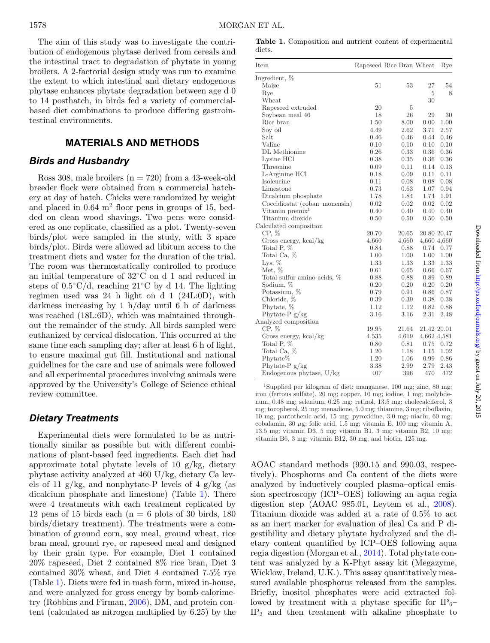The aim of this study was to investigate the contribution of endogenous phytase derived from cereals and the intestinal tract to degradation of phytate in young broilers. A 2-factorial design study was run to examine the extent to which intestinal and dietary endogenous phytase enhances phytate degradation between age d 0 to 14 posthatch, in birds fed a variety of commercialbased diet combinations to produce differing gastrointestinal environments.

## **MATERIALS AND METHODS**

## *Birds and Husbandry*

Ross 308, male broilers  $(n = 720)$  from a 43-week-old breeder flock were obtained from a commercial hatchery at day of hatch. Chicks were randomized by weight and placed in  $0.64$  m<sup>2</sup> floor pens in groups of 15, bedded on clean wood shavings. Two pens were considered as one replicate, classified as a plot. Twenty-seven birds/plot were sampled in the study, with 3 spare birds/plot. Birds were allowed ad libitum access to the treatment diets and water for the duration of the trial. The room was thermostatically controlled to produce an initial temperature of 32◦C on d 1 and reduced in steps of  $0.5\degree\text{C/d}$ , reaching 21°C by d 14. The lighting regimen used was 24 h light on d 1 (24L:0D), with darkness increasing by 1 h/day until 6 h of darkness was reached (18L:6D), which was maintained throughout the remainder of the study. All birds sampled were euthanized by cervical dislocation. This occurred at the same time each sampling day; after at least 6 h of light, to ensure maximal gut fill. Institutional and national guidelines for the care and use of animals were followed and all experimental procedures involving animals were approved by the University's College of Science ethical review committee.

## *Dietary Treatments*

Experimental diets were formulated to be as nutritionally similar as possible but with different combinations of plant-based feed ingredients. Each diet had approximate total phytate levels of 10 g/kg, dietary phytase activity analyzed at 460 U/kg, dietary Ca levels of 11 g/kg, and nonphytate-P levels of 4 g/kg (as dicalcium phosphate and limestone) (Table [1\)](#page-1-0). There were 4 treatments with each treatment replicated by 12 pens of 15 birds each  $(n = 6$  plots of 30 birds, 180 birds/dietary treatment). The treatments were a combination of ground corn, soy meal, ground wheat, rice bran meal, ground rye, or rapeseed meal and designed by their grain type. For example, Diet 1 contained 20% rapeseed, Diet 2 contained 8% rice bran, Diet 3 contained 30% wheat, and Diet 4 contained 7.5% rye (Table [1\)](#page-1-0). Diets were fed in mash form, mixed in-house, and were analyzed for gross energy by bomb calorimetry (Robbins and Firman, [2006\)](#page-6-7), DM, and protein content (calculated as nitrogen multiplied by 6.25) by the

<span id="page-1-0"></span>**Table 1.** Composition and nutrient content of experimental diets.

| Item                          |       | Rapeseed Rice Bran Wheat |          | Rye         |
|-------------------------------|-------|--------------------------|----------|-------------|
| Ingredient, %                 |       |                          |          |             |
| Maize                         | 51    | 53                       | 27       | 54          |
| Rye                           |       |                          | 5        | 8           |
| Wheat                         |       |                          | 30       |             |
| Rapeseed extruded             | 20    | 5                        |          |             |
| Soybean meal 46               | 18    | 26                       | 29       | 30          |
| Rice bran                     | 1.50  | 8.00                     | 0.00     | 1.00        |
| Soy oil                       | 4.49  | 2.62                     | 3.71     | 2.57        |
| Salt                          | 0.46  | 0.46                     | 0.44     | 0.46        |
| Valine                        | 0.10  | 0.10                     | 0.10     | 0.10        |
| DL Methionine                 | 0.26  | 0.33                     | 0.36     | 0.36        |
| Lysine HCl                    | 0.38  | 0.35                     | 0.36     | 0.36        |
| Threonine                     | 0.09  | 0.11                     | $0.14\,$ | 0.13        |
| L-Arginine HCl                | 0.18  | 0.09                     | 0.11     | 0.11        |
| Isoleucine                    | 0.11  | 0.08                     | 0.08     | 0.08        |
| Limestone                     | 0.73  | 0.63                     | 1.07     | 0.94        |
| Dicalcium phosphate           | 1.78  | 1.84                     | 1.74     | 1.91        |
| Coccidiostat (coban-monensin) | 0.02  | 0.02                     | 0.02     | 0.02        |
| Vitamin premix <sup>1</sup>   | 0.40  | 0.40                     | $0.40\,$ | 0.40        |
| Titanium dioxide              | 0.50  | 0.50                     | 0.50     | 0.50        |
| Calculated composition        |       |                          |          |             |
| $CP, \%$                      | 20.70 | 20.65                    |          | 20.80 20.47 |
| Gross energy, kcal/kg         | 4,660 | 4,660                    |          | 4,660 4,660 |
| Total P, %                    | 0.84  | 0.88                     | 0.74     | 0.77        |
| Total Ca, %                   | 1.00  | 1.00                     | 1.00     | 1.00        |
| Lys, $%$                      | 1.33  | 1.33                     | 1.33     | 1.33        |
| Met, %                        | 0.61  | 0.65                     | 0.66     | 0.67        |
| Total sulfur amino acids, %   | 0.88  | 0.88                     | 0.89     | 0.89        |
| Sodium, %                     | 0.20  | 0.20                     | 0.20     | 0.20        |
| Potassium, %                  | 0.79  | 0.91                     | $0.86\,$ | 0.87        |
| Chloride, %                   | 0.39  | 0.39                     | 0.38     | 0.38        |
| Phytate, %                    | 1.12  | 1.12                     | 0.82     | 0.88        |
| Phytate-P $g/kg$              | 3.16  | $3.16\,$                 | 2.31     | 2.48        |
| Analyzed composition          |       |                          |          |             |
| CP, %                         | 19.95 | 21.64                    |          | 21.42 20.01 |
| Gross energy, kcal/kg         | 4,535 | 4,619                    |          | 4,662 4,581 |
| Total P, $%$                  | 0.80  | 0.81                     | 0.75     | 0.72        |
| Total Ca, %                   | 1.20  | 1.18                     | 1.15     | 1.02        |
| Phytate\%                     | 1.20  | 1.06                     | 0.99     | 0.86        |
| Phytate-P $g/kg$              | 3.38  | 2.99                     | 2.79     | 2.43        |
| Endogenous phytase, U/kg      | 407   | 396                      | 470      | 472         |

1Supplied per kilogram of diet: manganese, 100 mg; zinc, 80 mg; iron (ferrous sulfate), 20 mg; copper, 10 mg; iodine, 1 mg; molybdenum, 0.48 mg; selenium, 0.25 mg; retinol, 13.5 mg; cholecalciferol, 3 mg; tocopherol, 25 mg; menadione, 5.0 mg; thiamine, 3 mg; riboflavin, 10 mg; pantothenic acid, 15 mg; pyroxidine, 3.0 mg; niacin, 60 mg; cobalamin, 30  $\mu$ g; folic acid, 1.5 mg; vitamin E, 100 mg; vitamin A, 13.5 mg; vitamin D3, 5 mg; vitamin B1, 3 mg; vitamin B2, 10 mg; vitamin B6, 3 mg; vitamin B12, 30 mg; and biotin, 125 mg.

AOAC standard methods (930.15 and 990.03, respectively). Phosphorus and Ca content of the diets were analyzed by inductively coupled plasma–optical emission spectroscopy (ICP–OES) following an aqua regia digestion step (AOAC 985.01, Leytem et al., [2008\)](#page-6-8). Titanium dioxide was added at a rate of 0.5% to act as an inert marker for evaluation of ileal Ca and P digestibility and dietary phytate hydrolyzed and the dietary content quantified by ICP–OES following aqua regia digestion (Morgan et al., [2014\)](#page-6-9). Total phytate content was analyzed by a K-Phyt assay kit (Megazyme, Wicklow, Ireland, U.K.). This assay quantitatively measured available phosphorus released from the samples. Briefly, inositol phosphates were acid extracted followed by treatment with a phytase specific for  $IP_6$ – IP2 and then treatment with alkaline phosphate to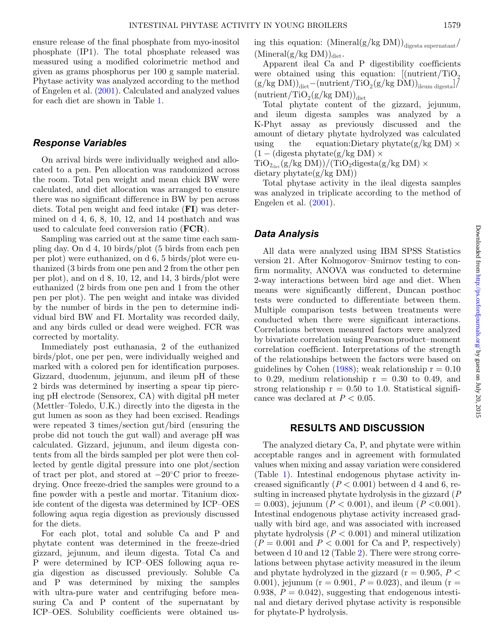ensure release of the final phosphate from myo-inositol phosphate (IP1). The total phosphate released was measured using a modified colorimetric method and given as grams phosphorus per 100 g sample material. Phytase activity was analyzed according to the method of Engelen et al. [\(2001\)](#page-5-4). Calculated and analyzed values for each diet are shown in Table [1.](#page-1-0)

#### *Response Variables*

On arrival birds were individually weighed and allocated to a pen. Pen allocation was randomized across the room. Total pen weight and mean chick BW were calculated, and diet allocation was arranged to ensure there was no significant difference in BW by pen across diets. Total pen weight and feed intake (**FI**) was determined on  $d$  4, 6, 8, 10, 12, and 14 posthatch and was used to calculate feed conversion ratio (**FCR**).

Sampling was carried out at the same time each sampling day. On d 4, 10 birds/plot (5 birds from each pen per plot) were euthanized, on d 6, 5 birds/plot were euthanized (3 birds from one pen and 2 from the other pen per plot), and on d 8, 10, 12, and 14, 3 birds/plot were euthanized (2 birds from one pen and 1 from the other pen per plot). The pen weight and intake was divided by the number of birds in the pen to determine individual bird BW and FI. Mortality was recorded daily, and any birds culled or dead were weighed. FCR was corrected by mortality.

Immediately post euthanasia, 2 of the euthanized birds/plot, one per pen, were individually weighed and marked with a colored pen for identification purposes. Gizzard, duodenum, jejunum, and ileum pH of these 2 birds was determined by inserting a spear tip piercing pH electrode (Sensorex, CA) with digital pH meter (Mettler–Toledo, U.K.) directly into the digesta in the gut lumen as soon as they had been excised. Readings were repeated 3 times/section gut/bird (ensuring the probe did not touch the gut wall) and average pH was calculated. Gizzard, jejunum, and ileum digesta contents from all the birds sampled per plot were then collected by gentle digital pressure into one plot/section of tract per plot, and stored at −20◦C prior to freezedrying. Once freeze-dried the samples were ground to a fine powder with a pestle and mortar. Titanium dioxide content of the digesta was determined by ICP–OES following aqua regia digestion as previously discussed for the diets.

For each plot, total and soluble Ca and P and phytate content was determined in the freeze-dried gizzard, jejunum, and ileum digesta. Total Ca and P were determined by ICP–OES following aqua regia digestion as discussed previously. Soluble Ca and P was determined by mixing the samples with ultra-pure water and centrifuging before measuring Ca and P content of the supernatant by ICP–OES. Solubility coefficients were obtained using this equation:  $(Mineral(g/kg DM))_{\text{digesta supernatant}}/$  $(Mineral(g/kg DM))_{\text{dist}}$ .

Apparent ileal Ca and P digestibility coefficients were obtained using this equation:  $[(\text{nutrient}/\text{TiO}_2)]$  $(g/kg DM)_{\text{det}}-(\text{nutrient}/\text{TiO}_2(g/kg DM))_{\text{ileum diesel}}$  $(\text{nutrient}/\text{TiO}_2(g/kg\text{ DM}))_{\text{dict}}$ 

Total phytate content of the gizzard, jejunum, and ileum digesta samples was analyzed by a K-Phyt assay as previously discussed and the amount of dietary phytate hydrolyzed was calculated using the equation:Dietary phytate(g/kg DM)  $\times$  $(1 - (\text{digesta phytate}(g/kg DM) \times$ 

 $\text{TiO}_{2\text{dist}}(g/\text{kg DM})/(\text{TiO}_{2}\text{digesta}(g/\text{kg DM}) \times$ dietary phytate $(g/kg DM)$ 

Total phytase activity in the ileal digesta samples was analyzed in triplicate according to the method of Engelen et al.  $(2001)$ .

## *Data Analysis*

All data were analyzed using IBM SPSS Statistics version 21. After Kolmogorov–Smirnov testing to confirm normality, ANOVA was conducted to determine 2-way interactions between bird age and diet. When means were significantly different, Duncan posthoc tests were conducted to differentiate between them. Multiple comparison tests between treatments were conducted when there were significant interactions. Correlations between measured factors were analyzed by bivariate correlation using Pearson product–moment correlation coefficient. Interpretations of the strength of the relationships between the factors were based on guidelines by Cohen  $(1988)$ ; weak relationship  $r = 0.10$ to 0.29, medium relationship  $r = 0.30$  to 0.49, and strong relationship  $r = 0.50$  to 1.0. Statistical significance was declared at  $P < 0.05$ .

### **RESULTS AND DISCUSSION**

The analyzed dietary Ca, P, and phytate were within acceptable ranges and in agreement with formulated values when mixing and assay variation were considered (Table [1\)](#page-1-0). Intestinal endogenous phytase activity increased significantly  $(P < 0.001)$  between d 4 and 6, resulting in increased phytate hydrolysis in the gizzard (*P*  $= 0.003$ , jejunum (*P* < 0.001), and ileum (*P* < 0.001). Intestinal endogenous phytase activity increased gradually with bird age, and was associated with increased phytate hydrolysis  $(P < 0.001)$  and mineral utilization  $(P = 0.001$  and  $P < 0.001$  for Ca and P, respectively) between d 10 and 12 (Table [2\)](#page-3-0). There were strong correlations between phytase activity measured in the ileum and phytate hydrolyzed in the gizzard ( $r = 0.905, P <$ 0.001), jejunum ( $r = 0.901$ ,  $P = 0.023$ ), and ileum ( $r =$ 0.938,  $P = 0.042$ , suggesting that endogenous intestinal and dietary derived phytase activity is responsible for phytate-P hydrolysis.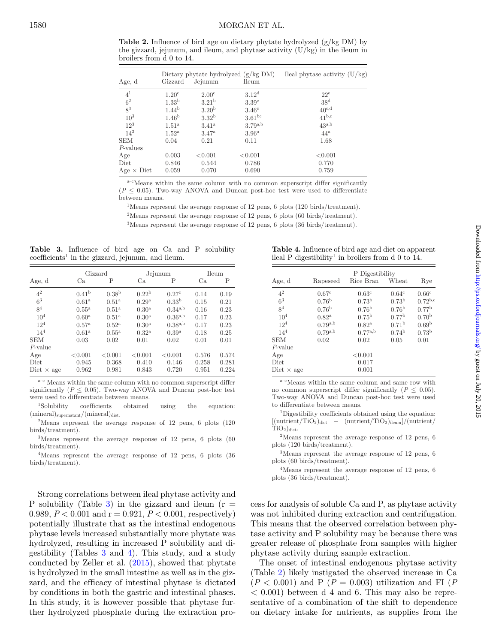<span id="page-3-0"></span>**Table 2.** Influence of bird age on dietary phytate hydrolyzed (g/kg DM) by the gizzard, jejunum, and ileum, and phytase activity (U/kg) in the ileum in broilers from d 0 to 14.

| Age, d            | Gizzard             | Jejunum           | Dietary phytate hydrolyzed $(g/kg DM)$<br><b>Ileum</b> | Ileal phytase activity $(U/kg)$ |
|-------------------|---------------------|-------------------|--------------------------------------------------------|---------------------------------|
| 4 <sup>1</sup>    | 1.20 <sup>c</sup>   | 2.00 <sup>c</sup> | 3.12 <sup>d</sup>                                      | 22 <sup>e</sup>                 |
| 6 <sup>2</sup>    | 1.33 <sup>b</sup>   | 3.21 <sup>b</sup> | 3.39 <sup>c</sup>                                      | 38 <sup>d</sup>                 |
| $8^3$             | $1.44^{b}$          | 3.20 <sup>b</sup> | 3.46 <sup>c</sup>                                      | $40^{\text{c,d}}$               |
| 10 <sup>3</sup>   | 1.46 <sup>b</sup>   | 3.32 <sup>b</sup> | $3.61^{bc}$                                            | $41^{\mathrm{b,c}}$             |
| $12^{3}$          | 1.51 <sup>a</sup>   | $3.41^{\rm a}$    | $3.79^{a,b}$                                           | $43^{a,b}$                      |
| $14^3$            | $1.52^{\mathrm{a}}$ | 3.47 <sup>a</sup> | 3.96 <sup>a</sup>                                      | $44^a$                          |
| <b>SEM</b>        | 0.04                | 0.21              | 0.11                                                   | 1.68                            |
| $P$ -values       |                     |                   |                                                        |                                 |
| Age               | 0.003               | < 0.001           | < 0.001                                                | < 0.001                         |
| Diet              | 0.846               | 0.544             | 0.786                                                  | 0.770                           |
| $Age \times Diet$ | 0.059               | 0.070             | 0.690                                                  | 0.759                           |

a–cMeans within the same column with no common superscript differ significantly  $(P \leq 0.05)$ . Two-way ANOVA and Duncan post-hoc test were used to differentiate between means.

<sup>1</sup>Means represent the average response of 12 pens, 6 plots (120 birds/treatment).

<sup>2</sup>Means represent the average response of 12 pens, 6 plots (60 birds/treatment).

3Means represent the average response of 12 pens, 6 plots (36 birds/treatment).

<span id="page-3-1"></span>**Table 3.** Influence of bird age on Ca and P solubility  $coefficients<sup>1</sup>$  in the gizzard, jejunum, and ileum.

|                   |                     | Gizzard           |                   | Jejunum               |       | Ileum |
|-------------------|---------------------|-------------------|-------------------|-----------------------|-------|-------|
| Age, d            | Сa                  | Р                 | Ca                | Р                     | Ca    | Ρ     |
| 4 <sup>2</sup>    | 0.41 <sup>b</sup>   | 0.38 <sup>b</sup> | $0.22^{b}$        | 0.27 <sup>c</sup>     | 0.14  | 0.19  |
| 6 <sup>3</sup>    | 0.61 <sup>a</sup>   | $0.51^{\rm a}$    | 0.29 <sup>a</sup> | 0.33 <sup>b</sup>     | 0.15  | 0.21  |
| 8 <sup>4</sup>    | $0.55^{\mathrm{a}}$ | $0.51^{\rm a}$    | 0.30 <sup>a</sup> | $0.34^{a,b}$          | 0.16  | 0.23  |
| $10^{4}$          | $0.60^{\rm a}$      | $0.51^{\rm a}$    | $0.30^{\rm a}$    | $0.36^{\mathrm{a,b}}$ | 0.17  | 0.23  |
| $12^{4}$          | 0.57 <sup>a</sup>   | $0.52^{\rm a}$    | $0.30^{\rm a}$    | $0.38^{a,b}$          | 0.17  | 0.23  |
| 14 <sup>4</sup>   | 0.61 <sup>a</sup>   | 0.55 <sup>a</sup> | $0.32^{\rm a}$    | 0.39 <sup>a</sup>     | 0.18  | 0.25  |
| <b>SEM</b>        | 0.03                | 0.02              | 0.01              | 0.02                  | 0.01  | 0.01  |
| $P$ -value        |                     |                   |                   |                       |       |       |
| Age               | < 0.001             | < 0.001           | < 0.001           | < 0.001               | 0.576 | 0.574 |
| Diet              | 0.945               | 0.368             | 0.410             | 0.146                 | 0.258 | 0.281 |
| Diet $\times$ age | 0.962               | 0.981             | 0.843             | 0.720                 | 0.951 | 0.224 |

a-c Means within the same column with no common superscript differ significantly  $(P \leq 0.05)$ . Two-way ANOVA and Duncan post-hoc test were used to differentiate between means.

1Solubility coefficients obtained using the equation:  $(mineral)_{supernatant}/(mineral)_{\text{dict}}$ .

2Means represent the average response of 12 pens, 6 plots (120 birds/treatment).

3Means represent the average response of 12 pens, 6 plots (60 birds/treatment).

4Means represent the average response of 12 pens, 6 plots (36 birds/treatment).

Strong correlations between ileal phytase activity and P solubility (Table [3\)](#page-3-1) in the gizzard and ileum  $(r =$ 0.989,  $P < 0.001$  and  $r = 0.921$ ,  $P < 0.001$ , respectively) potentially illustrate that as the intestinal endogenous phytase levels increased substantiall[y](#page-3-1) more phytate was hydrolyzed, resulting in increased P solubility and digestibility (Tables [3](#page-3-1) and [4\)](#page-3-2). This study, and a study conducted by Zeller et al. [\(2015\)](#page-6-10), showed that phytate is hydrolyzed in the small intestine as well as in the gizzard, and the efficacy of intestinal phytase is dictated by conditions in both the gastric and intestinal phases. In this study, it is however possible that phytase further hydrolyzed phosphate during the extraction pro-

<span id="page-3-2"></span>**Table 4.** Influence of bird age and diet on apparent ileal P digestibility<sup>1</sup> in broilers from d 0 to 14.

|                   | P Digestibility       |                   |                   |                   |  |
|-------------------|-----------------------|-------------------|-------------------|-------------------|--|
| Age, d            | Rapeseed              | Rice Bran         | Wheat             | Rye               |  |
| 4 <sup>2</sup>    | 0.67 <sup>c</sup>     | $0.63^{\circ}$    | 0.64 <sup>c</sup> | 0.66 <sup>c</sup> |  |
| 6 <sup>3</sup>    | 0.76 <sup>b</sup>     | 0.73 <sup>b</sup> | 0.73 <sup>b</sup> | $0.72^{b,c}$      |  |
| 8 <sup>4</sup>    | 0.76 <sup>b</sup>     | 0.76 <sup>b</sup> | 0.76 <sup>b</sup> | 0.77 <sup>b</sup> |  |
| 10 <sup>4</sup>   | $0.82^{\rm a}$        | $0.75^{\rm b}$    | 0.77 <sup>b</sup> | 0.70 <sup>b</sup> |  |
| 12 <sup>4</sup>   | $0.79^{a,b}$          | $0.82^{\rm a}$    | 0.71 <sup>b</sup> | 0.69 <sup>b</sup> |  |
| 14 <sup>4</sup>   | $0.79^{\mathrm{a,b}}$ | $0.77^{a,b}$      | 0.74 <sup>b</sup> | 0.73 <sup>b</sup> |  |
| <b>SEM</b>        | 0.02                  | 0.02              | 0.05              | 0.01              |  |
| $P$ -value        |                       |                   |                   |                   |  |
| Age               |                       | < 0.001           |                   |                   |  |
| Diet              |                       | 0.017             |                   |                   |  |
| Diet $\times$ age |                       | 0.001             |                   |                   |  |

a–cMeans within the same column and same row with no common superscript differ significantly  $(P \leq 0.05)$ . Two-way ANOVA and Duncan post-hoc test were used to differentiate between means.

1Digestibility coefficients obtained using the equation:  $[(\text{nutrient/TiO}_2)_{\text{dict}} - (\text{nutrient/TiO}_2)_{\text{ileum}}]/(\text{nutrient}/$  $TiO<sub>2</sub>)<sub>dict</sub>$ .

2Means represent the average response of 12 pens, 6 plots (120 birds/treatment).

3Means represent the average response of 12 pens, 6 plots (60 birds/treatment).

4Means represent the average response of 12 pens, 6 plots (36 birds/treatment).

cess for analysis of soluble Ca and P, as phytase activity was not inhibited during extraction and centrifugation. This means that the observed correlation between phytase activity and P solubility may be because there was greater release of phosphate from samples with higher phytase activity during sample extraction.

The onset of intestinal endogenous phytase activity (Table [2\)](#page-3-0) likely instigated the observed increase in Ca  $(P < 0.001)$  and P  $(P = 0.003)$  utilization and FI  $(P<sub>0.001</sub>)$  $< 0.001$ ) between d 4 and 6. This may also be representative of a combination of the shift to dependence on dietary intake for nutrients, as supplies from the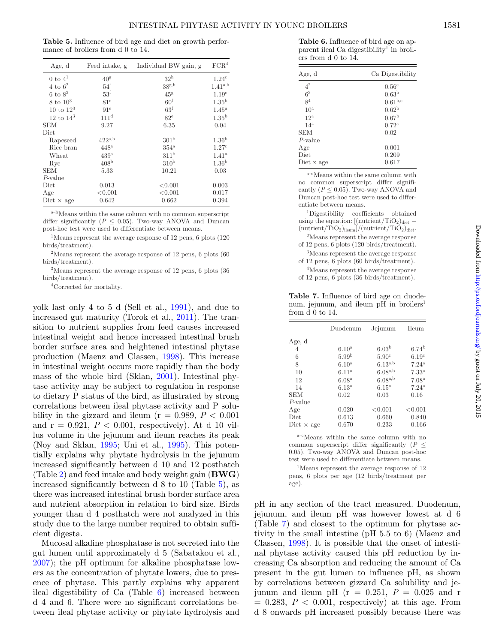<span id="page-4-0"></span>**Table 5.** Influence of bird age and diet on growth performance of broilers from d 0 to 14.

| Age, d                | Feed intake, g       | Individual BW gain, g | FCR <sup>4</sup>    |
|-----------------------|----------------------|-----------------------|---------------------|
| $0$ to $4^1$          | $40^{\rm g}$         | 32 <sup>h</sup>       | $1.24^c$            |
| $4 \text{ to } 6^2$   | $54^{\mathrm{f}}$    | 38 <sup>g,h</sup>     | $1.41^{a,b}$        |
| $6 \text{ to } 8^3$   | $53^{\mathrm{f}}$    | 45 <sup>g</sup>       | 1.19 <sup>c</sup>   |
| $8 \text{ to } 10^3$  | 81 <sup>e</sup>      | 60 <sup>f</sup>       | 1.35 <sup>b</sup>   |
| $10 \text{ to } 12^3$ | 91 <sup>e</sup>      | 63 <sup>f</sup>       | $1.45^{\mathrm{a}}$ |
| 12 to $14^3$          | 111 <sup>d</sup>     | $82^{\circ}$          | 1.35 <sup>b</sup>   |
| <b>SEM</b>            | 9.27                 | 6.35                  | 0.04                |
| Diet                  |                      |                       |                     |
| Rapeseed              | $422^{\mathrm{a,b}}$ | 301 <sup>b</sup>      | 1.36 <sup>b</sup>   |
| Rice bran             | $448^{\mathrm{a}}$   | $354^{\mathrm{a}}$    | 1.27c               |
| Wheat                 | 439 <sup>a</sup>     | 311 <sup>b</sup>      | 1.41 <sup>a</sup>   |
| Rye                   | 408 <sup>b</sup>     | 310 <sup>b</sup>      | 1.36 <sup>b</sup>   |
| <b>SEM</b>            | 5.33                 | 10.21                 | 0.03                |
| $P$ -value            |                      |                       |                     |
| Diet                  | 0.013                | < 0.001               | 0.003               |
| Age                   | < 0.001              | < 0.001               | 0.017               |
| Diet $\times$ age     | 0.642                | 0.662                 | 0.394               |

a–hMeans within the same column with no common superscript differ significantly ( $P \leq 0.05$ ). Two-way ANOVA and Duncan post-hoc test were used to differentiate between means.

1Means represent the average response of 12 pens, 6 plots (120 birds/treatment).

2Means represent the average response of 12 pens, 6 plots (60 birds/treatment).

3Means represent the average response of 12 pens, 6 plots (36 birds/treatment).

4Corrected for mortality.

yolk last only 4 to 5 d (Sell et al., [1991\)](#page-6-11), and due to increased gut maturity (Torok et al., [2011\)](#page-6-12). The transition to nutrient supplies from feed causes increased intestinal weight and hence increased intestinal brush border surface area and heightened intestinal phytase production (Maenz and Classen, [1998\)](#page-6-1). This increase in intestinal weight occurs more rapidly than the body mass of the whole bird (Sklan, [2001\)](#page-6-13). Intestinal phytase activity may be subject to regulation in response to dietary P status of the bird, as illustrated by strong correlations between ileal phytase activity and P solubility in the gizzard and ileum ( $r = 0.989, P < 0.001$ ) and  $r = 0.921$ ,  $P < 0.001$ , respectively). At d 10 villus volume in the jejunum and ileum reaches its peak (Noy and Sklan, [1995;](#page-6-14) Uni et al., [1995\)](#page-6-15). This potentially explains why phytate hydrolysis in the jejunum increased significantly between d 10 and 12 posthatch (Table [2\)](#page-3-0) and feed intake and body weight gain (**BWG**) increased significantly between d 8 to 10 (Table [5\)](#page-4-0), as there was increased intestinal brush border surface area and nutrient absorption in relation to bird size. Birds younger than d 4 posthatch were not analyzed in this study due to the large number required to obtain sufficient digesta.

Mucosal alkaline phosphatase is not secreted into the gut lumen until approximately d 5 (Sabatakou et al., [2007\)](#page-6-16); the pH optimum for alkaline phosphatase lowers as the concentration of phytate lowers, due to presence of phytase. This partly explains why apparent ileal digestibility of Ca (Table [6\)](#page-4-1) increased between d 4 and 6. There were no significant correlations between ileal phytase activity or phytate hydrolysis and

<span id="page-4-1"></span>**Table 6.** Influence of bird age on apparent ileal Ca digestibility<sup>1</sup> in broilers from d 0 to 14.

| Age, d          | Ca Digestibility  |
|-----------------|-------------------|
| 4 <sup>2</sup>  | 0.56 <sup>c</sup> |
| 6 <sup>3</sup>  | 0.63 <sup>b</sup> |
| 8 <sup>4</sup>  | $0.61^{b,c}$      |
| 10 <sup>4</sup> | 0.62 <sup>b</sup> |
| 12 <sup>4</sup> | 0.67 <sup>b</sup> |
| $14^{4}$        | $0.72^{\rm a}$    |
| <b>SEM</b>      | 0.02              |
| $P$ -value      |                   |
| Age             | 0.001             |
| Diet            | 0.209             |
| Diet x age      | 0.617             |
|                 |                   |

a–cMeans within the same column with no common superscript differ significantly ( $P \leq 0.05$ ). Two-way ANOVA and Duncan post-hoc test were used to differentiate between means.

1Digestibility coefficients obtained using the equation:  $[(\text{nutrient}/\text{TiO}_2)]_{\text{dict}} (\text{nutrient}/\text{TiO}_2)_{\text{ileum}}]/(\text{nutrient}/\text{TiO}_2)_{\text{dict}}$ .

2Means represent the average response of 12 pens, 6 plots (120 birds/treatment).

3Means represent the average response of 12 pens, 6 plots (60 birds/treatment).

4Means represent the average response of 12 pens, 6 plots (36 birds/treatment).

<span id="page-4-2"></span>**Table 7.** Influence of bird age on duodenum, jejunum, and ileum pH in broilers<sup>1</sup> from d 0 to 14.

|                   | Duodenum          | Jejunum               | <b>Ileum</b>      |
|-------------------|-------------------|-----------------------|-------------------|
| Age, d            |                   |                       |                   |
| 4                 | 6.10 <sup>a</sup> | 6.03 <sup>b</sup>     | 6.74 <sup>b</sup> |
| 6                 | 5.99 <sup>b</sup> | 5.90 <sup>c</sup>     | 6.19 <sup>c</sup> |
| 8                 | 6.10 <sup>a</sup> | $6.13^{a,b}$          | $7.24^{\rm a}$    |
| 10                | 6.11 <sup>a</sup> | $6.08^{\mathrm{a,b}}$ | $7.33^{\rm a}$    |
| 12                | 6.08 <sup>a</sup> | $6.08^{\rm a,b}$      | 7.08 <sup>a</sup> |
| 14                | 6.13 <sup>a</sup> | $6.15^{\mathrm{a}}$   | $7.24^{\rm a}$    |
| <b>SEM</b>        | 0.02              | 0.03                  | 0.16              |
| $P$ -value        |                   |                       |                   |
| Age               | 0.020             | < 0.001               | < 0.001           |
| Diet              | 0.613             | 0.660                 | 0.840             |
| Diet $\times$ age | 0.670             | 0.233                 | 0.166             |

a–cMeans within the same column with no common superscript differ significantly  $(P \leq$ 0.05). Two-way ANOVA and Duncan post-hoc test were used to differentiate between means.

1Means represent the average response of 12 pens, 6 plots per age (12 birds/treatment per age).

pH in any section of the tract measured. Duodenum, jejunum, and ileum pH was however lowest at d 6 (Table [7\)](#page-4-2) and closest to the optimum for phytase activity in the small intestine (pH 5.5 to 6) (Maenz and Classen, [1998\)](#page-6-1). It is possible that the onset of intestinal phytase activity caused this pH reduction by increasing Ca absorption and reducing the amount of Ca present in the gut lumen to influence pH, as shown by correlations between gizzard Ca solubility and jejunum and ileum pH ( $r = 0.251$ ,  $P = 0.025$  and r  $= 0.283, P < 0.001$ , respectively) at this age. From d 8 onwards pH increased possibly because there was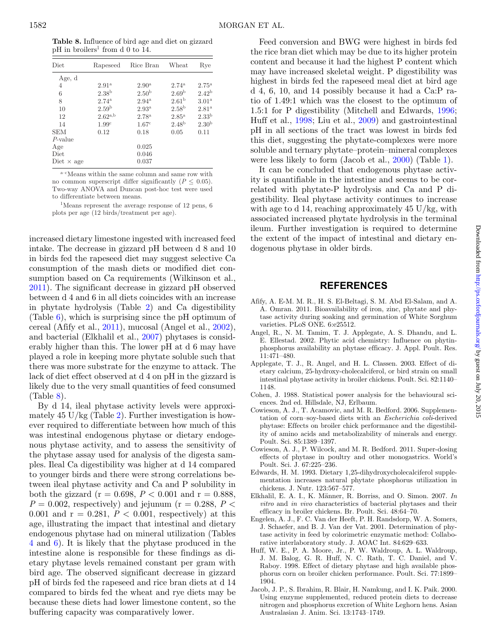<span id="page-5-9"></span>**Table 8.** Influence of bird age and diet on gizzard  $pH$  in broilers<sup>1</sup> from d 0 to 14.

| $_{\rm Diet}$     | Rapeseed              | Rice Bran           | Wheat               | Rye               |
|-------------------|-----------------------|---------------------|---------------------|-------------------|
| Age, d            |                       |                     |                     |                   |
| 4                 | 2.91 <sup>a</sup>     | $2.90^{\rm a}$      | $2.74^{\rm a}$      | $2.75^{\rm a}$    |
| 6                 | 2.38 <sup>b</sup>     | 2.50 <sup>b</sup>   | 2.69 <sup>b</sup>   | $2.42^{b}$        |
| 8                 | $2.74^{a}$            | $2.94^{\rm a}$      | 2.61 <sup>b</sup>   | 3.01 <sup>a</sup> |
| 10                | 2.59 <sup>b</sup>     | $2.93^{\mathrm{a}}$ | 2.58 <sup>b</sup>   | $2.81^{a}$        |
| 12                | $2.62^{\mathrm{a,b}}$ | 2.78 <sup>a</sup>   | $2.85^{\mathrm{a}}$ | 2.33 <sup>b</sup> |
| 14                | 1.99 <sup>c</sup>     | 1.67 <sup>c</sup>   | 2.48 <sup>b</sup>   | 2.30 <sup>b</sup> |
| SEM               | 0.12                  | 0.18                | 0.05                | 0.11              |
| $P$ -value        |                       |                     |                     |                   |
| Age               |                       | 0.025               |                     |                   |
| $_{\rm Diet}$     |                       | 0.046               |                     |                   |
| Diet $\times$ age |                       | 0.037               |                     |                   |

 $\mathrm{^{a-c}Means}$  within the same column and same row with no common superscript differ significantly ( $P \leq 0.05$ ). Two-way ANOVA and Duncan post-hoc test were used to differentiate between means.

1Means represent the average response of 12 pens, 6 plots per age (12 birds/treatment per age).

increased dietary limestone ingested with increased feed intake. The decrease in gizzard pH between d 8 and 10 in birds fed the rapeseed diet may suggest selective Ca consumption of the mash diets or modified diet consumption based on Ca requirements (Wilkinson et al., [2011\)](#page-6-17). The significant decrease in gizzard pH observed between d 4 and 6 in all diets coincides with an increase in phytate hydrolysis (Table [2\)](#page-3-0) and Ca digestibility (Table [6\)](#page-4-1), which is surprising since the pH optimum of cereal (Afify et al., [2011\)](#page-5-6), mucosal (Angel et al., [2002\)](#page-5-7), and bacterial (Elkhalil et al., [2007\)](#page-5-8) phytases is considerably higher than this. The lower pH at d 6 may have played a role in keeping more phytate soluble such that there was more substrate for the enzyme to attack. The lack of diet effect observed at d 4 on pH in the gizzard is likely due to the very small quantities of feed consumed (Table [8\)](#page-5-9).

By d 14, ileal phytase activity levels were approxi-mately 45 U/kg (Table [2\)](#page-3-0). Further investigation is however required to differentiate between how much of this was intestinal endogenous phytase or dietary endogenous phytase activity, and to assess the sensitivity of the phytase assay used for analysis of the digesta samples. Ileal Ca digestibility was higher at d 14 compared to younger birds and there were strong correlations between ileal phytase activity and Ca and P solubility in both the gizzard ( $r = 0.698, P < 0.001$  and  $r = 0.888$ ,  $P = 0.002$ , respectively) and jejunum ( $r = 0.288$ ,  $P <$ 0.001 and  $r = 0.281, P < 0.001$ , respectively) at this age, illustrating the impact that intestinal and dietary endogenous phytase had on mineral utilization (Tables [4](#page-3-2) and [6\)](#page-4-1). It is likely that the phytase produced in the intestine alone is responsible for these findings as dietary phytase levels remained constant per gram with bird age. The observed significant decrease in gizzard pH of birds fed the rapeseed and rice bran diets at d 14 compared to birds fed the wheat and rye diets may be because these diets had lower limestone content, so the buffering capacity was comparatively lower.

Feed conversion and BWG were highest in birds fed the rice bran diet which may be due to its higher protein content and because it had the highest P content which may have increased skeletal weight. P digestibility was highest in birds fed the rapeseed meal diet at bird age d 4, 6, 10, and 14 possibly because it had a Ca:P ratio of 1.49:1 which was the closest to the optimum of 1.5:1 for P digestibility (Mitchell and Edwards, [1996;](#page-6-18) Huff et al., [1998;](#page-5-10) Liu et al., [2009\)](#page-6-19) and gastrointestinal pH in all sections of the tract was lowest in birds fed this diet, suggesting the phytate-complexes were more soluble and ternary phytate–protein–mineral complexes were less likely to form (Jacob et al., [2000\)](#page-5-11) (Table [1\)](#page-1-0).

It can be concluded that endogenous phytase activity is quantifiable in the intestine and seems to be correlated with phytate-P hydrolysis and Ca and P digestibility. Ileal phytase activity continues to increase with age to d 14, reaching approximately 45 U/kg, with associated increased phytate hydrolysis in the terminal ileum. Further investigation is required to determine the extent of the impact of intestinal and dietary endogenous phytase in older birds.

## **REFERENCES**

- <span id="page-5-6"></span>Afify, A. E-M. M. R., H. S. El-Beltagi, S. M. Abd El-Salam, and A. A. Omran. 2011. Bioavailability of iron, zinc, phytate and phytase activity during soaking and germination of White Sorghum varieties. PLoS ONE. 6:e25512.
- <span id="page-5-7"></span>Angel, R., N. M. Tamim, T. J. Applegate, A. S. Dhandu, and L. E. Ellestad. 2002. Phytic acid chemistry: Influence on phytinphosphorus availability an phytase efficacy. J. Appl. Poult. Res. 11:471–480.
- <span id="page-5-3"></span>Applegate, T. J., R. Angel, and H. L. Classen. 2003. Effect of dietary calcium, 25-hydroxy-cholecalciferol, or bird strain on small intestinal phytase activity in broiler chickens. Poult. Sci. 82:1140– 1148.
- <span id="page-5-5"></span>Cohen, J. 1988. Statistical power analysis for the behavioural sciences. 2nd ed. Hillsdale, NJ, Erlbaum.
- <span id="page-5-0"></span>Cowieson, A. J., T. Acamovic, and M. R. Bedford. 2006. Supplementation of corn–soy-based diets with an *Escherichia coli*-derived phytase: Effects on broiler chick performance and the digestibility of amino acids and metabolizability of minerals and energy. Poult. Sci. 85:1389–1397.
- <span id="page-5-1"></span>Cowieson, A. J., P. Wilcock, and M. R. Bedford. 2011. Super-dosing effects of phytase in poultry and other monogastrics. World's Poult. Sci. J. 67:225–236.
- <span id="page-5-2"></span>Edwards, H. M. 1993. Dietary 1,25-dihydroxycholecalciferol supplementation increases natural phytate phosphorus utilization in chickens. J. Nutr. 123:567–577.
- <span id="page-5-8"></span>Elkhalil, E. A. I., K. Männer, R. Borriss, and O. Simon. 2007. *In vitro* and *in vivo* characteristics of bacterial phytases and their efficacy in broiler chickens. Br. Poult. Sci. 48:64–70.
- <span id="page-5-4"></span>Engelen, A. J., F. C. Van der Heeft, P. H. Randsdorp, W. A. Somers, J. Schaefer, and B. J. Van der Vat. 2001. Determination of phytase activity in feed by colorimetric enzymatic method: Collaborative interlaboratory study. J. AOAC Int. 84:629–633.
- <span id="page-5-10"></span>Huff, W. E., P. A. Moore, Jr., P. W. Waldroup, A. L. Waldroup, J. M. Balog, G. R. Huff, N. C. Rath, T. C. Daniel, and V. Raboy. 1998. Effect of dietary phytase and high available phosphorus corn on broiler chicken performance. Poult. Sci. 77:1899– 1904.
- <span id="page-5-11"></span>Jacob, J. P., S. Ibrahim, R. Blair, H. Namkung, and I. K. Paik. 2000. Using enzyme supplemented, reduced protein diets to decrease nitrogen and phosphorus excretion of White Leghorn hens. Asian Australasian J. Anim. Sci. 13:1743–1749.